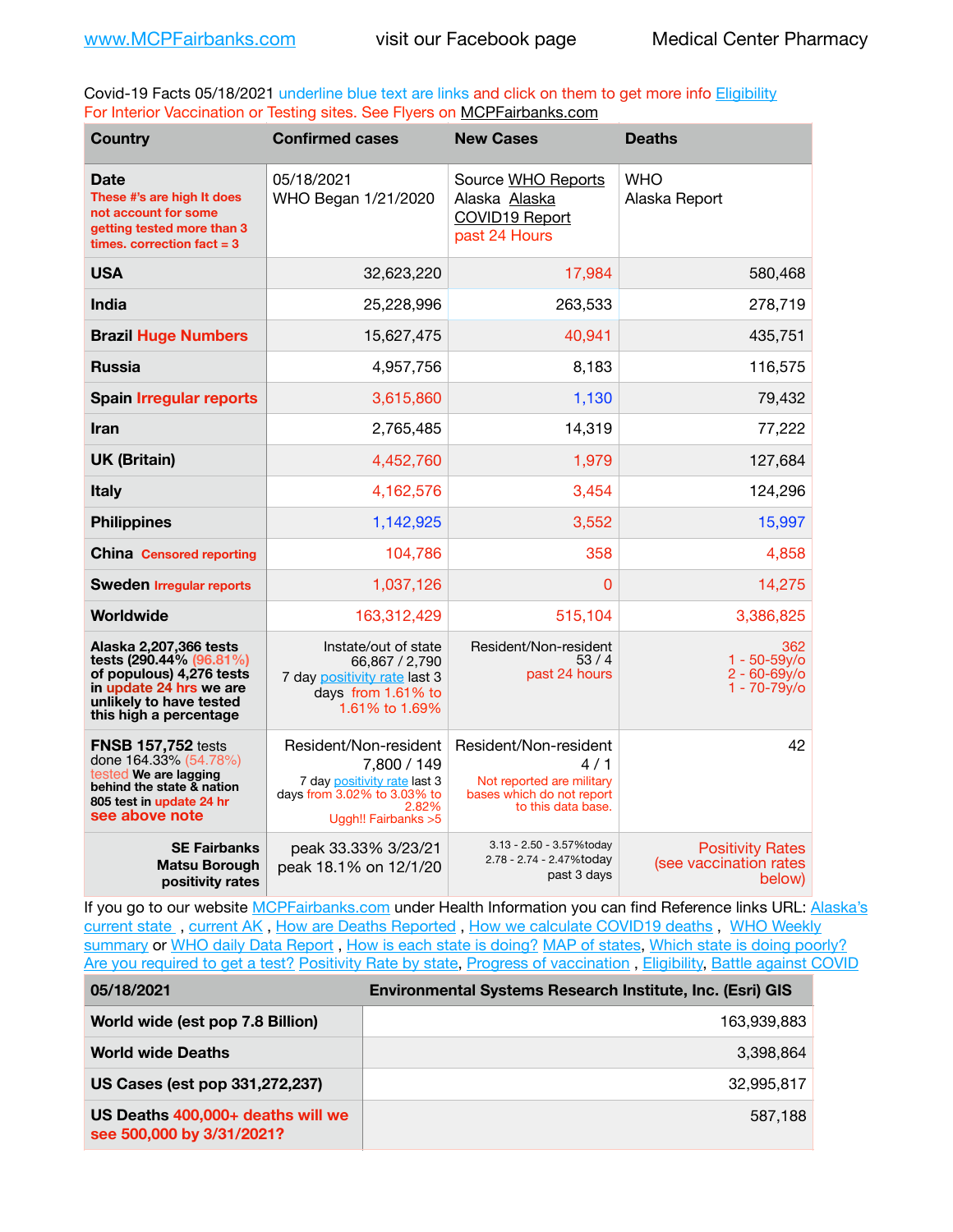Covid-19 Facts 05/18/2021 underline blue text are links and click on them to get more info **Eligibility** For Interior Vaccination or Testing sites. See Flyers on [MCPFairbanks.com](http://www.MCPFairbanks.com)

| <b>Country</b>                                                                                                                                                | <b>Confirmed cases</b>                                                                                                               | <b>New Cases</b>                                                                                             | <b>Deaths</b>                                               |
|---------------------------------------------------------------------------------------------------------------------------------------------------------------|--------------------------------------------------------------------------------------------------------------------------------------|--------------------------------------------------------------------------------------------------------------|-------------------------------------------------------------|
| <b>Date</b><br>These #'s are high It does<br>not account for some<br>getting tested more than 3<br>times, correction fact $= 3$                               | 05/18/2021<br>WHO Began 1/21/2020                                                                                                    | Source WHO Reports<br>Alaska Alaska<br><b>COVID19 Report</b><br>past 24 Hours                                | <b>WHO</b><br>Alaska Report                                 |
| <b>USA</b>                                                                                                                                                    | 32,623,220                                                                                                                           | 17,984                                                                                                       | 580,468                                                     |
| <b>India</b>                                                                                                                                                  | 25,228,996                                                                                                                           | 263,533                                                                                                      | 278,719                                                     |
| <b>Brazil Huge Numbers</b>                                                                                                                                    | 15,627,475                                                                                                                           | 40,941                                                                                                       | 435,751                                                     |
| <b>Russia</b>                                                                                                                                                 | 4,957,756                                                                                                                            | 8,183                                                                                                        | 116,575                                                     |
| <b>Spain Irregular reports</b>                                                                                                                                | 3,615,860                                                                                                                            | 1,130                                                                                                        | 79,432                                                      |
| <b>Iran</b>                                                                                                                                                   | 2,765,485                                                                                                                            | 14,319                                                                                                       | 77,222                                                      |
| <b>UK (Britain)</b>                                                                                                                                           | 4,452,760                                                                                                                            | 1,979                                                                                                        | 127,684                                                     |
| <b>Italy</b>                                                                                                                                                  | 4,162,576                                                                                                                            | 3,454                                                                                                        | 124,296                                                     |
| <b>Philippines</b>                                                                                                                                            | 1,142,925                                                                                                                            | 3,552                                                                                                        | 15,997                                                      |
| <b>China Censored reporting</b>                                                                                                                               | 104,786                                                                                                                              | 358                                                                                                          | 4,858                                                       |
| <b>Sweden Irregular reports</b>                                                                                                                               | 1,037,126                                                                                                                            | 0                                                                                                            | 14,275                                                      |
| Worldwide                                                                                                                                                     | 163,312,429                                                                                                                          | 515,104                                                                                                      | 3,386,825                                                   |
| Alaska 2,207,366 tests<br>tests (290.44% (96.81%)<br>of populous) 4,276 tests<br>in update 24 hrs we are<br>unlikely to have tested<br>this high a percentage | Instate/out of state<br>66,867 / 2,790<br>7 day positivity rate last 3<br>days from 1.61% to<br>1.61% to 1.69%                       | Resident/Non-resident<br>53/4<br>past 24 hours                                                               | 362<br>1 - 50-59y/o<br>$2 - 60 - 69v$<br>1 - 70-79y/o       |
| <b>FNSB 157,752 tests</b><br>done 164.33% (54.78%)<br>tested We are lagging<br>behind the state & nation<br>805 test in update 24 hr<br>see above note        | Resident/Non-resident<br>7,800 / 149<br>7 day positivity rate last 3<br>days from 3.02% to 3.03% to<br>2.82%<br>Uggh!! Fairbanks > 5 | Resident/Non-resident<br>4/1<br>Not reported are military<br>bases which do not report<br>to this data base. | 42                                                          |
| <b>SE Fairbanks</b><br><b>Matsu Borough</b><br>positivity rates                                                                                               | peak 33.33% 3/23/21<br>peak 18.1% on 12/1/20                                                                                         | 3.13 - 2.50 - 3.57%today<br>2.78 - 2.74 - 2.47%today<br>past 3 days                                          | <b>Positivity Rates</b><br>(see vaccination rates<br>below) |

If you go to our website [MCPFairbanks.com](http://www.MCPFairbanks.com) under Health Information you can find Reference links URL: Alaska's current state, current AK, [How are Deaths Reported](http://dhss.alaska.gov/dph/Epi/id/Pages/COVID-19/deathcounts.aspx), [How we calculate COVID19 deaths](https://coronavirus-response-alaska-dhss.hub.arcgis.com/search?collection=Document&groupIds=41ccb3344ebc4bd682c74073eba21f42), WHO Weekly [summary](http://www.who.int) or [WHO daily Data Report](https://covid19.who.int/table), [How is each state is doing?](https://www.msn.com/en-us/news/us/state-by-state-coronavirus-news/ar-BB13E1PX?fbclid=IwAR0_OBJH7lSyTN3ug_MsOeFnNgB1orTa9OBgilKJ7dhnwlVvHEsptuKkj1c) [MAP of states,](https://www.nationalgeographic.com/science/graphics/graphic-tracking-coronavirus-infections-us?cmpid=org=ngp::mc=crm-email::src=ngp::cmp=editorial::add=SpecialEdition_20210305&rid=B9A6DF5992658E8E35CE023113CFEA4C) [Which state is doing poorly?](https://bestlifeonline.com/covid-outbreak-your-state/?utm_source=nsltr&utm_medium=email&utm_content=covid-outbreak-your-state&utm_campaign=launch) [Are you required to get a test?](http://dhss.alaska.gov/dph/Epi/id/SiteAssets/Pages/HumanCoV/Whattodoafteryourtest.pdf) [Positivity Rate by state](https://coronavirus.jhu.edu/testing/individual-states/alaska), Progress of vaccination, [Eligibility,](http://dhss.alaska.gov/dph/Epi/id/Pages/COVID-19/VaccineAvailability.aspx) [Battle against COVID](https://www.nationalgeographic.com/science/graphics/graphic-tracking-coronavirus-infections-us?cmpid=org=ngp::mc=crm-email::src=ngp::cmp=editorial::add=SpecialEdition_20210219&rid=B9A6DF5992658E8E35CE023113CFEA4C)

| 05/18/2021                                                     | Environmental Systems Research Institute, Inc. (Esri) GIS |
|----------------------------------------------------------------|-----------------------------------------------------------|
| World wide (est pop 7.8 Billion)                               | 163,939,883                                               |
| <b>World wide Deaths</b>                                       | 3.398.864                                                 |
| US Cases (est pop 331,272,237)                                 | 32.995.817                                                |
| US Deaths 400,000+ deaths will we<br>see 500,000 by 3/31/2021? | 587,188                                                   |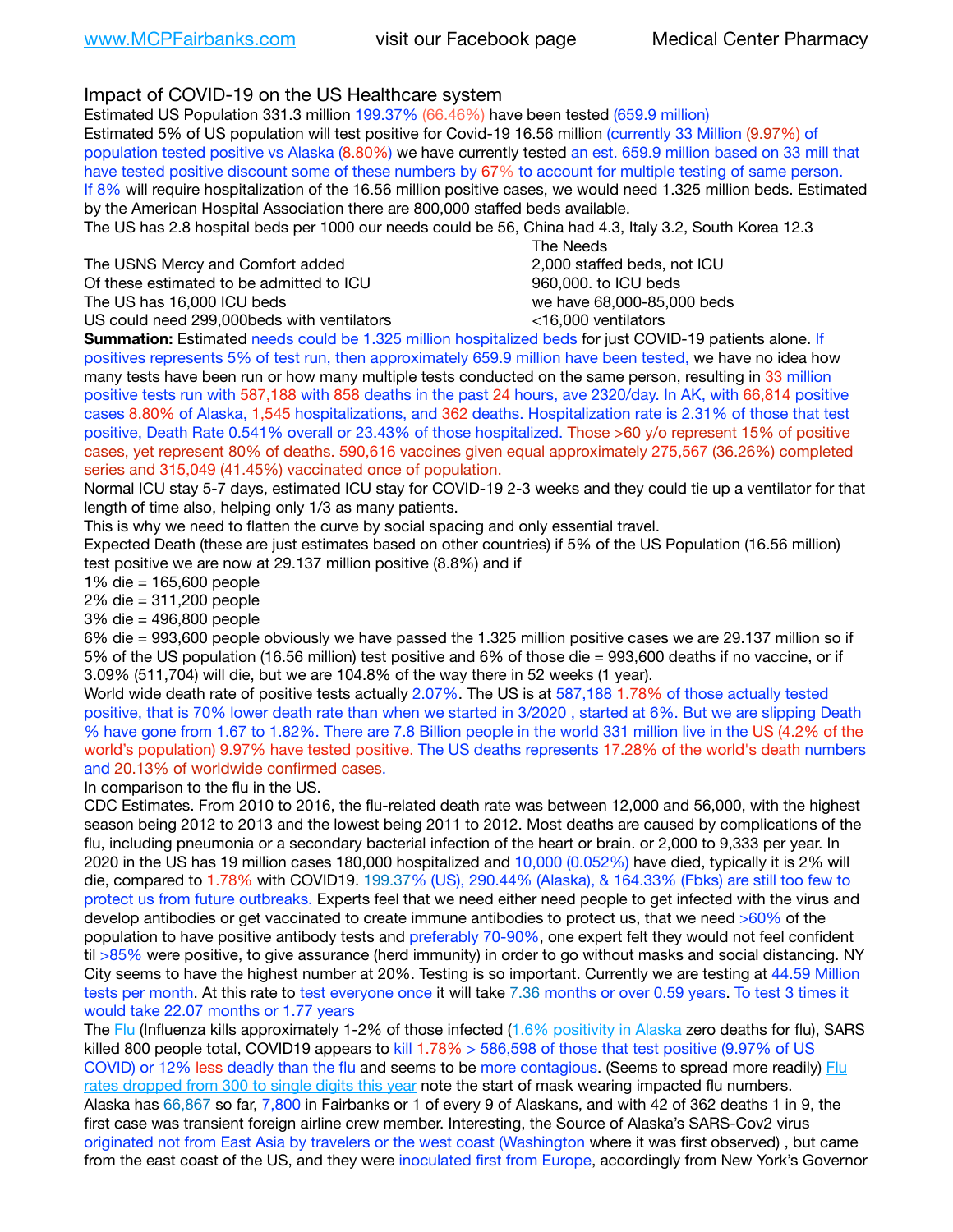Impact of COVID-19 on the US Healthcare system

Estimated US Population 331.3 million 199.37% (66.46%) have been tested (659.9 million) Estimated 5% of US population will test positive for Covid-19 16.56 million (currently 33 Million (9.97%) of population tested positive vs Alaska (8.80%) we have currently tested an est. 659.9 million based on 33 mill that have tested positive discount some of these numbers by 67% to account for multiple testing of same person. If 8% will require hospitalization of the 16.56 million positive cases, we would need 1.325 million beds. Estimated by the American Hospital Association there are 800,000 staffed beds available.

The US has 2.8 hospital beds per 1000 our needs could be 56, China had 4.3, Italy 3.2, South Korea 12.3

The USNS Mercy and Comfort added 2,000 staffed beds, not ICU Of these estimated to be admitted to ICU 860,000. to ICU beds

 The Needs The US has 16,000 ICU beds we have 68,000-85,000 beds US could need 299,000 beds with ventilators  $\leq 16,000$  ventilators

**Summation:** Estimated needs could be 1.325 million hospitalized beds for just COVID-19 patients alone. If positives represents 5% of test run, then approximately 659.9 million have been tested, we have no idea how many tests have been run or how many multiple tests conducted on the same person, resulting in 33 million positive tests run with 587,188 with 858 deaths in the past 24 hours, ave 2320/day. In AK, with 66,814 positive cases 8.80% of Alaska, 1,545 hospitalizations, and 362 deaths. Hospitalization rate is 2.31% of those that test positive, Death Rate 0.541% overall or 23.43% of those hospitalized. Those >60 y/o represent 15% of positive cases, yet represent 80% of deaths. 590,616 vaccines given equal approximately 275,567 (36.26%) completed series and 315,049 (41.45%) vaccinated once of population.

Normal ICU stay 5-7 days, estimated ICU stay for COVID-19 2-3 weeks and they could tie up a ventilator for that length of time also, helping only 1/3 as many patients.

This is why we need to flatten the curve by social spacing and only essential travel.

Expected Death (these are just estimates based on other countries) if 5% of the US Population (16.56 million) test positive we are now at 29.137 million positive (8.8%) and if

1% die = 165,600 people

2% die = 311,200 people

3% die = 496,800 people

6% die = 993,600 people obviously we have passed the 1.325 million positive cases we are 29.137 million so if 5% of the US population (16.56 million) test positive and 6% of those die = 993,600 deaths if no vaccine, or if 3.09% (511,704) will die, but we are 104.8% of the way there in 52 weeks (1 year).

World wide death rate of positive tests actually 2.07%. The US is at 587,188 1.78% of those actually tested positive, that is 70% lower death rate than when we started in 3/2020 , started at 6%. But we are slipping Death % have gone from 1.67 to 1.82%. There are 7.8 Billion people in the world 331 million live in the US (4.2% of the world's population) 9.97% have tested positive. The US deaths represents 17.28% of the world's death numbers and 20.13% of worldwide confirmed cases.

In comparison to the flu in the US.

CDC Estimates. From 2010 to 2016, the flu-related death rate was between 12,000 and 56,000, with the highest season being 2012 to 2013 and the lowest being 2011 to 2012. Most deaths are caused by complications of the flu, including pneumonia or a secondary bacterial infection of the heart or brain. or 2,000 to 9,333 per year. In 2020 in the US has 19 million cases 180,000 hospitalized and 10,000 (0.052%) have died, typically it is 2% will die, compared to 1.78% with COVID19. 199.37% (US), 290.44% (Alaska), & 164.33% (Fbks) are still too few to protect us from future outbreaks. Experts feel that we need either need people to get infected with the virus and develop antibodies or get vaccinated to create immune antibodies to protect us, that we need >60% of the population to have positive antibody tests and preferably 70-90%, one expert felt they would not feel confident til >85% were positive, to give assurance (herd immunity) in order to go without masks and social distancing. NY City seems to have the highest number at 20%. Testing is so important. Currently we are testing at 44.59 Million tests per month. At this rate to test everyone once it will take 7.36 months or over 0.59 years. To test 3 times it would take 22.07 months or 1.77 years

The [Flu](https://lnks.gd/l/eyJhbGciOiJIUzI1NiJ9.eyJidWxsZXRpbl9saW5rX2lkIjoxMDMsInVyaSI6ImJwMjpjbGljayIsImJ1bGxldGluX2lkIjoiMjAyMTAyMjYuMzYwNDA3NTEiLCJ1cmwiOiJodHRwczovL3d3dy5jZGMuZ292L2ZsdS93ZWVrbHkvb3ZlcnZpZXcuaHRtIn0.ePMA_hsZ-pTnhWSyg1gHvHWYTu2XceVOt0JejxvP1WE/s/500544915/br/98428119752-l) (Influenza kills approximately 1-2% of those infected ([1.6% positivity in Alaska](http://dhss.alaska.gov/dph/Epi/id/SiteAssets/Pages/influenza/trends/Snapshot.pdf) zero deaths for flu), SARS killed 800 people total, COVID19 appears to kill 1.78% > 586,598 of those that test positive (9.97% of US COVID) or 12% less deadly than the flu and seems to be more contagious. (Seems to spread more readily) Flu [rates dropped from 300 to single digits this year](https://lnks.gd/l/eyJhbGciOiJIUzI1NiJ9.eyJidWxsZXRpbl9saW5rX2lkIjoxMDEsInVyaSI6ImJwMjpjbGljayIsImJ1bGxldGluX2lkIjoiMjAyMTAyMjYuMzYwNDA3NTEiLCJ1cmwiOiJodHRwOi8vZGhzcy5hbGFza2EuZ292L2RwaC9FcGkvaWQvUGFnZXMvaW5mbHVlbnphL2ZsdWluZm8uYXNweCJ9.oOe3nt2fww6XpsNhb4FZfmtPfPa-irGaldpkURBJhSo/s/500544915/br/98428119752-l) note the start of mask wearing impacted flu numbers. Alaska has 66,867 so far, 7,800 in Fairbanks or 1 of every 9 of Alaskans, and with 42 of 362 deaths 1 in 9, the first case was transient foreign airline crew member. Interesting, the Source of Alaska's SARS-Cov2 virus originated not from East Asia by travelers or the west coast (Washington where it was first observed) , but came from the east coast of the US, and they were inoculated first from Europe, accordingly from New York's Governor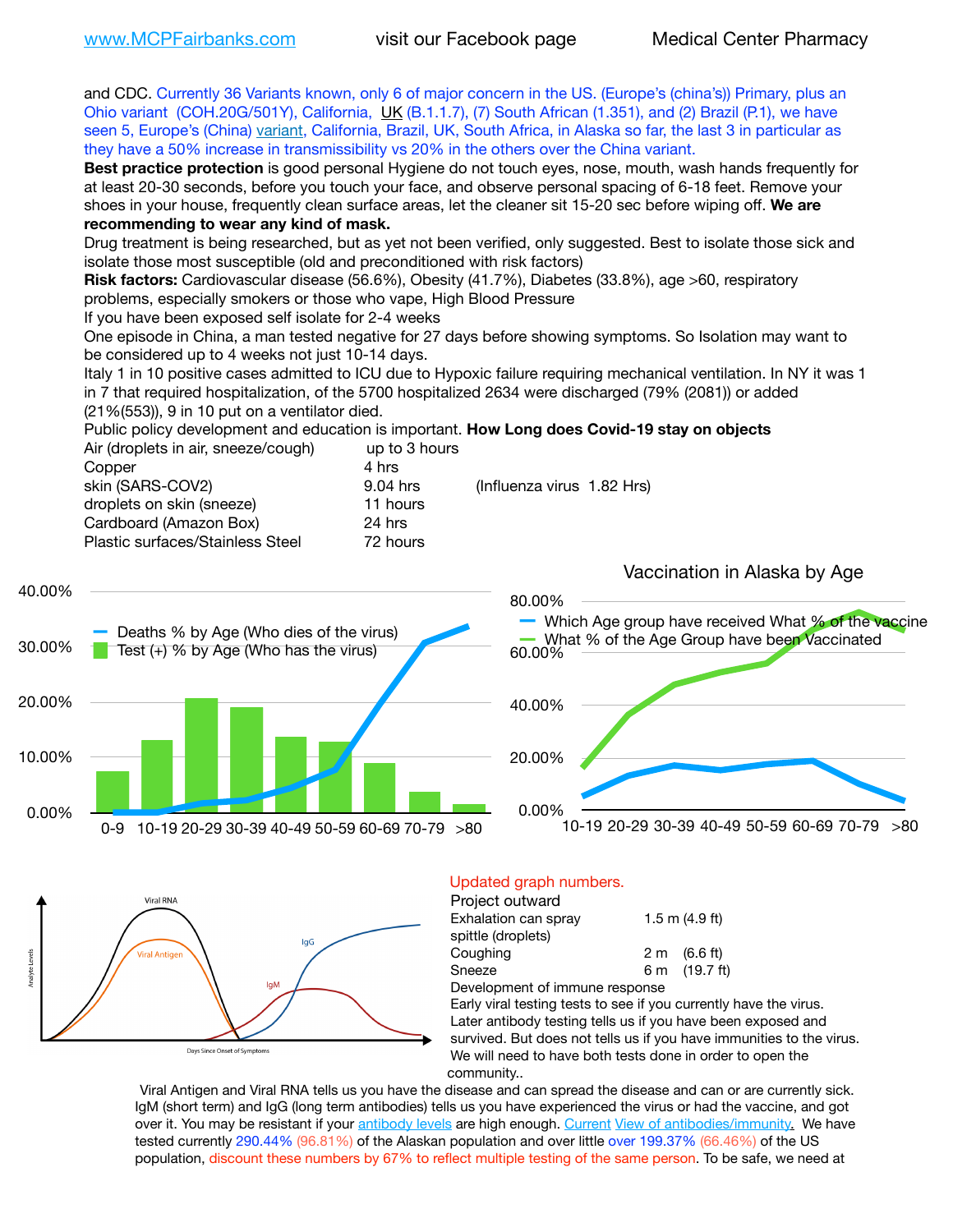**Inalyte** Levels

and CDC. Currently 36 Variants known, only 6 of major concern in the US. (Europe's (china's)) Primary, plus an Ohio variant (COH.20G/501Y), California, [UK](https://www.cdc.gov/coronavirus/2019-ncov/transmission/variant-cases.html) (B.1.1.7), (7) South African (1.351), and (2) Brazil (P.1), we have seen 5, Europe's (China) [variant,](https://www.webmd.com/lung/news/20210318/cdc-who-create-threat-levels-for-covid-variants?ecd=wnl_cvd_031921&ctr=wnl-cvd-031921&mb=kYbf7DsHb7YGjh/1RUkcAW0T6iorImAU1TDZh18RYs0=_Support_titleLink_2) California, Brazil, UK, South Africa, in Alaska so far, the last 3 in particular as they have a 50% increase in transmissibility vs 20% in the others over the China variant. **Best practice protection** is good personal Hygiene do not touch eyes, nose, mouth, wash hands frequently for at least 20-30 seconds, before you touch your face, and observe personal spacing of 6-18 feet. Remove your shoes in your house, frequently clean surface areas, let the cleaner sit 15-20 sec before wiping off. **We are recommending to wear any kind of mask.** Drug treatment is being researched, but as yet not been verified, only suggested. Best to isolate those sick and isolate those most susceptible (old and preconditioned with risk factors) **Risk factors:** Cardiovascular disease (56.6%), Obesity (41.7%), Diabetes (33.8%), age >60, respiratory problems, especially smokers or those who vape, High Blood Pressure If you have been exposed self isolate for 2-4 weeks One episode in China, a man tested negative for 27 days before showing symptoms. So Isolation may want to be considered up to 4 weeks not just 10-14 days. Italy 1 in 10 positive cases admitted to ICU due to Hypoxic failure requiring mechanical ventilation. In NY it was 1 in 7 that required hospitalization, of the 5700 hospitalized 2634 were discharged (79% (2081)) or added (21%(553)), 9 in 10 put on a ventilator died. Public policy development and education is important. **How Long does Covid-19 stay on objects** Air (droplets in air, sneeze/cough) up to 3 hours Copper 4 hrs skin (SARS-COV2) 9.04 hrs (Influenza virus 1.82 Hrs) droplets on skin (sneeze) 11 hours Cardboard (Amazon Box) 24 hrs Plastic surfaces/Stainless Steel 72 hours Vaccination in Alaska by Age 40.00% 80.00% Which Age group have received What % of the vaccine Deaths % by Age (Who dies of the virus) What % of the Age Group have been Vaccinated30.00% Test  $(+)$  % by Age (Who has the virus) 60.00% 20.00% 40.00% 10.00% 20.00% 0.00% 0.00% 10-19 20-29 30-39 40-49 50-59 60-69 70-79 >80 0-9 10-19 20-29 30-39 40-49 50-59 60-69 70-79 >80 Updated graph numbers. **Viral RNA** Project outward Exhalation can spray  $1.5 \text{ m}$  (4.9 ft) spittle (droplets) lgG Coughing  $2 \text{ m}$   $(6.6 \text{ ft})$ ral Antigo Sneeze 6 m (19.7 ft) **IgM** Development of immune response Early viral testing tests to see if you currently have the virus. Later antibody testing tells us if you have been exposed and survived. But does not tells us if you have immunities to the virus. Days Since Onset of Symptoms We will need to have both tests done in order to open the

community..

Viral Antigen and Viral RNA tells us you have the disease and can spread the disease and can or are currently sick. IgM (short term) and IgG (long term antibodies) tells us you have experienced the virus or had the vaccine, and got over it. You may be resistant if your [antibody levels](https://www.cdc.gov/coronavirus/2019-ncov/lab/resources/antibody-tests.html) are high enough. [Current](https://l.facebook.com/l.php?u=https://www.itv.com/news/2020-10-26/covid-19-antibody-levels-reduce-over-time-study-finds?fbclid=IwAR3Dapzh1qIH1EIOdUQI2y8THf7jfA4KBCaJz8Qg-8xe1YsrR4nsAHDIXSY&h=AT30nut8pkqp0heVuz5W2rT2WFFm-2Ab52BsJxZZCNlGsX58IpPkuVEPULbIUV_M16MAukx1Kwb657DPXxsgDN1rpOQ4gqBtQsmVYiWpnHPJo2RQsU6CPMd14lgLnQnFWxfVi6zvmw&__tn__=-UK-R&c%5B0%5D=AT1GaRAfR_nGAyqcn7TI1-PpvqOqEKXHnz6TDWvRStMnOSH7boQDvTiwTOc6VId9UES6LKiOmm2m88wKCoolkJyOFvakt2Z1Mw8toYWGGoWW23r0MNVBl7cYJXB_UOvGklNHaNnaNr1_S7NhT3BSykNOBg) [View of antibodies/immunity](https://www.livescience.com/antibodies.html)[.](https://www.itv.com/news/2020-10-26/covid-19-antibody-levels-reduce-over-time-study-finds) We have tested currently 290.44% (96.81%) of the Alaskan population and over little over 199.37% (66.46%) of the US population, discount these numbers by 67% to reflect multiple testing of the same person. To be safe, we need at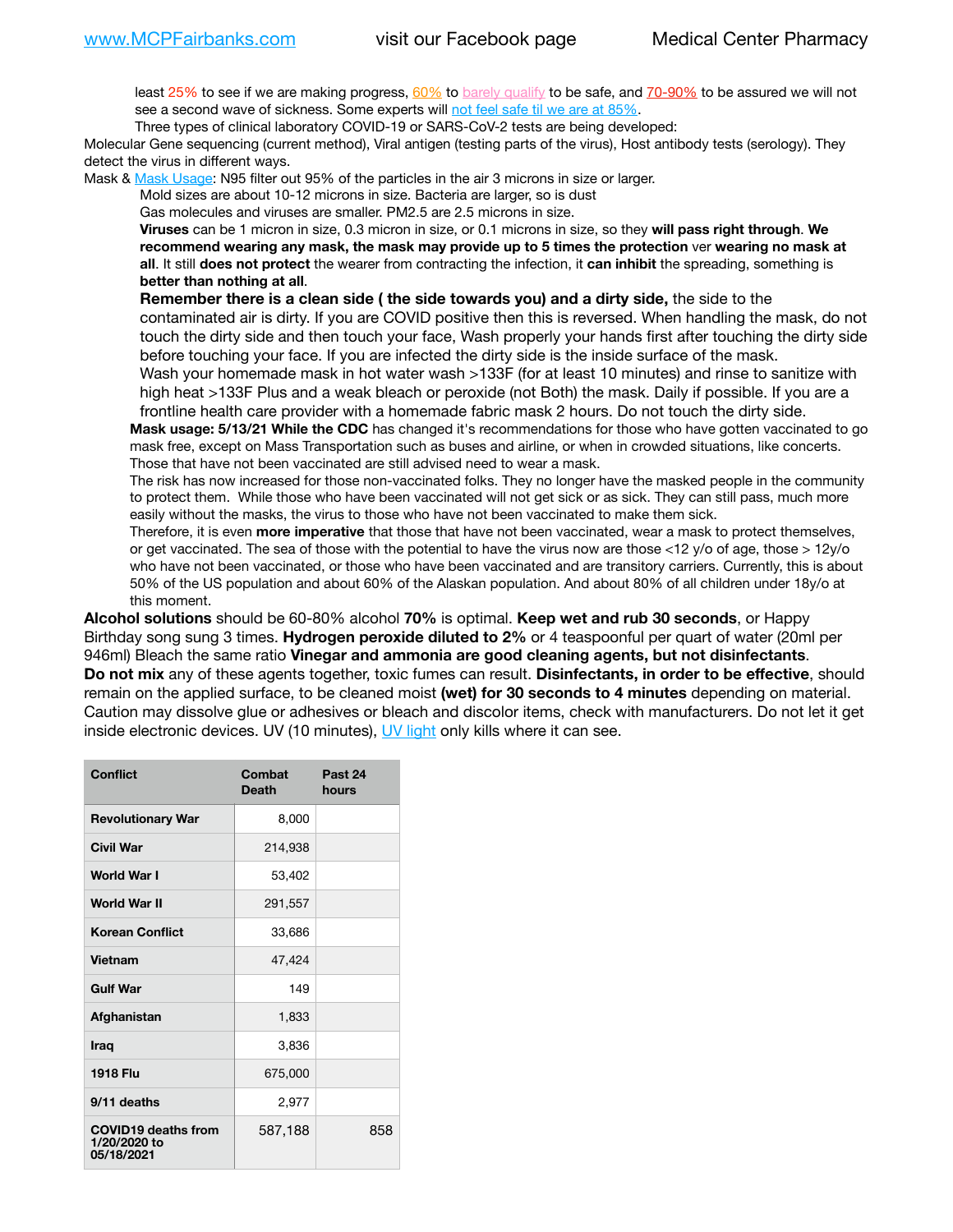least 25% to see if we are making progress, [60%](https://www.jhsph.edu/covid-19/articles/achieving-herd-immunity-with-covid19.html) to [barely qualify](https://www.nature.com/articles/d41586-020-02948-4) to be safe, and [70-90%](https://www.mayoclinic.org/herd-immunity-and-coronavirus/art-20486808) to be assured we will not see a second wave of sickness. Some experts will [not feel safe til we are at 85%.](https://www.bannerhealth.com/healthcareblog/teach-me/what-is-herd-immunity)

Three types of clinical laboratory COVID-19 or SARS-CoV-2 tests are being developed:

Molecular Gene sequencing (current method), Viral antigen (testing parts of the virus), Host antibody tests (serology). They detect the virus in different ways.

Mask & [Mask Usage:](https://www.nationalgeographic.com/history/2020/03/how-cities-flattened-curve-1918-spanish-flu-pandemic-coronavirus/) N95 filter out 95% of the particles in the air 3 microns in size or larger.

Mold sizes are about 10-12 microns in size. Bacteria are larger, so is dust

Gas molecules and viruses are smaller. PM2.5 are 2.5 microns in size.

**Viruses** can be 1 micron in size, 0.3 micron in size, or 0.1 microns in size, so they **will pass right through**. **We recommend wearing any mask, the mask may provide up to 5 times the protection** ver **wearing no mask at all**. It still **does not protect** the wearer from contracting the infection, it **can inhibit** the spreading, something is **better than nothing at all**.

**Remember there is a clean side ( the side towards you) and a dirty side,** the side to the contaminated air is dirty. If you are COVID positive then this is reversed. When handling the mask, do not touch the dirty side and then touch your face, Wash properly your hands first after touching the dirty side before touching your face. If you are infected the dirty side is the inside surface of the mask. Wash your homemade mask in hot water wash >133F (for at least 10 minutes) and rinse to sanitize with

high heat >133F Plus and a weak bleach or peroxide (not Both) the mask. Daily if possible. If you are a frontline health care provider with a homemade fabric mask 2 hours. Do not touch the dirty side. **Mask usage: 5/13/21 While the CDC** has changed it's recommendations for those who have gotten vaccinated to go mask free, except on Mass Transportation such as buses and airline, or when in crowded situations, like concerts.

Those that have not been vaccinated are still advised need to wear a mask.

The risk has now increased for those non-vaccinated folks. They no longer have the masked people in the community to protect them. While those who have been vaccinated will not get sick or as sick. They can still pass, much more easily without the masks, the virus to those who have not been vaccinated to make them sick.

Therefore, it is even **more imperative** that those that have not been vaccinated, wear a mask to protect themselves, or get vaccinated. The sea of those with the potential to have the virus now are those <12 y/o of age, those >  $12y$ /o who have not been vaccinated, or those who have been vaccinated and are transitory carriers. Currently, this is about 50% of the US population and about 60% of the Alaskan population. And about 80% of all children under 18y/o at this moment.

**Alcohol solutions** should be 60-80% alcohol **70%** is optimal. **Keep wet and rub 30 seconds**, or Happy Birthday song sung 3 times. **Hydrogen peroxide diluted to 2%** or 4 teaspoonful per quart of water (20ml per 946ml) Bleach the same ratio **Vinegar and ammonia are good cleaning agents, but not disinfectants**. **Do not mix** any of these agents together, toxic fumes can result. **Disinfectants, in order to be effective**, should remain on the applied surface, to be cleaned moist **(wet) for 30 seconds to 4 minutes** depending on material. Caution may dissolve glue or adhesives or bleach and discolor items, check with manufacturers. Do not let it get inside electronic devices. UV (10 minutes), [UV light](http://www.docreviews.me/best-uv-boxes-2020/?fbclid=IwAR3bvFtXB48OoBBSvYvTEnKuHNPbipxM6jUo82QUSw9wckxjC7wwRZWabGw) only kills where it can see.

| <b>Conflict</b>                                          | Combat<br><b>Death</b> | Past 24<br>hours |
|----------------------------------------------------------|------------------------|------------------|
| <b>Revolutionary War</b>                                 | 8,000                  |                  |
| Civil War                                                | 214,938                |                  |
| World War I                                              | 53,402                 |                  |
| <b>World War II</b>                                      | 291,557                |                  |
| <b>Korean Conflict</b>                                   | 33,686                 |                  |
| Vietnam                                                  | 47,424                 |                  |
| <b>Gulf War</b>                                          | 149                    |                  |
| Afghanistan                                              | 1,833                  |                  |
| <b>Iraq</b>                                              | 3,836                  |                  |
| <b>1918 Flu</b>                                          | 675,000                |                  |
| 9/11 deaths                                              | 2,977                  |                  |
| <b>COVID19 deaths from</b><br>1/20/2020 to<br>05/18/2021 | 587,188                | 858              |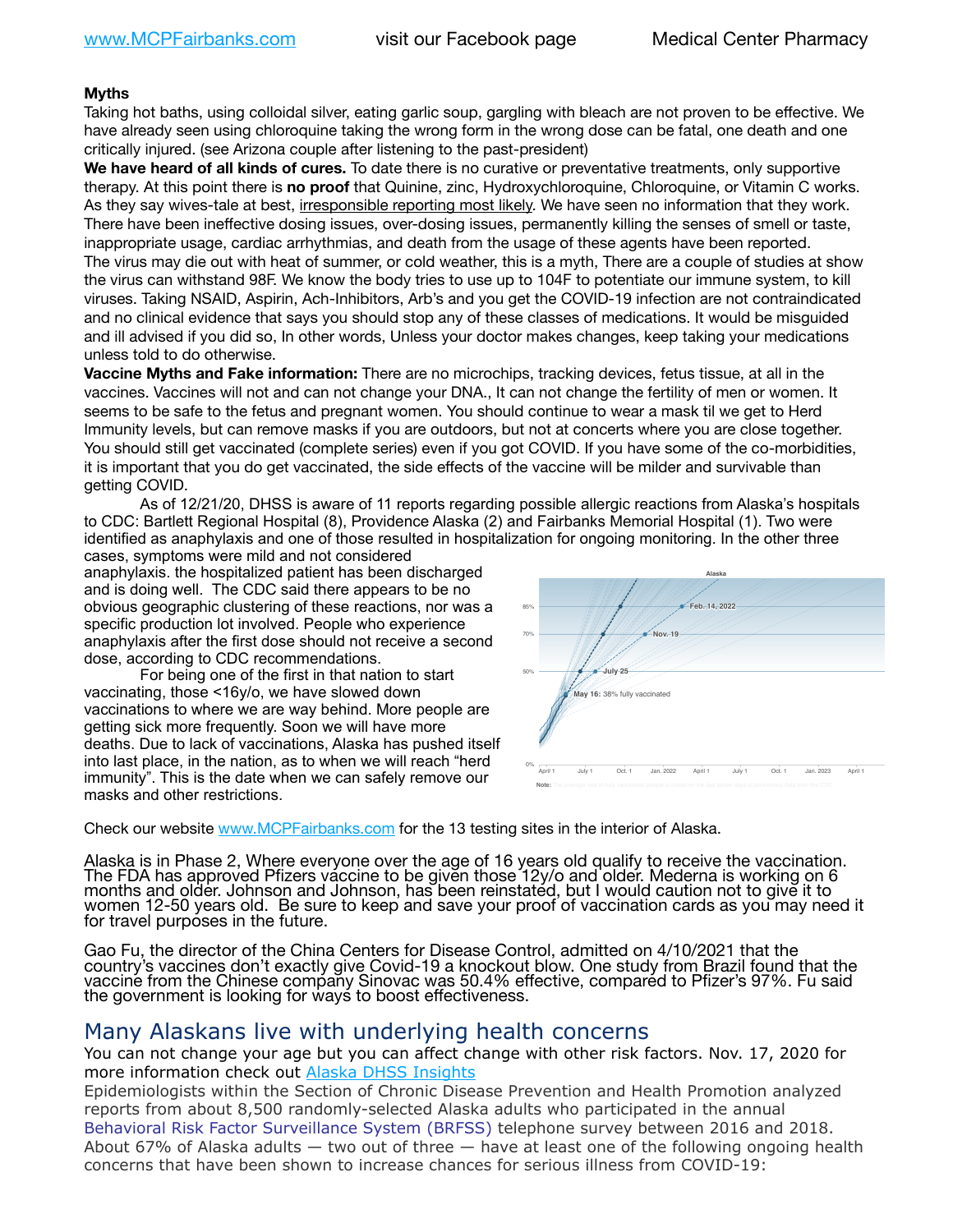## **Myths**

Taking hot baths, using colloidal silver, eating garlic soup, gargling with bleach are not proven to be effective. We have already seen using chloroquine taking the wrong form in the wrong dose can be fatal, one death and one critically injured. (see Arizona couple after listening to the past-president)

**We have heard of all kinds of cures.** To date there is no curative or preventative treatments, only supportive therapy. At this point there is **no proof** that Quinine, zinc, Hydroxychloroquine, Chloroquine, or Vitamin C works. As they say wives-tale at best, irresponsible reporting most likely. We have seen no information that they work. There have been ineffective dosing issues, over-dosing issues, permanently killing the senses of smell or taste, inappropriate usage, cardiac arrhythmias, and death from the usage of these agents have been reported. The virus may die out with heat of summer, or cold weather, this is a myth, There are a couple of studies at show the virus can withstand 98F. We know the body tries to use up to 104F to potentiate our immune system, to kill viruses. Taking NSAID, Aspirin, Ach-Inhibitors, Arb's and you get the COVID-19 infection are not contraindicated and no clinical evidence that says you should stop any of these classes of medications. It would be misguided and ill advised if you did so, In other words, Unless your doctor makes changes, keep taking your medications unless told to do otherwise.

**Vaccine Myths and Fake information:** There are no microchips, tracking devices, fetus tissue, at all in the vaccines. Vaccines will not and can not change your DNA., It can not change the fertility of men or women. It seems to be safe to the fetus and pregnant women. You should continue to wear a mask til we get to Herd Immunity levels, but can remove masks if you are outdoors, but not at concerts where you are close together. You should still get vaccinated (complete series) even if you got COVID. If you have some of the co-morbidities, it is important that you do get vaccinated, the side effects of the vaccine will be milder and survivable than getting COVID.

ادت.<br>As of 12/21/20, DHSS is aware of 11 reports regarding possible allergic reactions from Alaska's hospitals to CDC: Bartlett Regional Hospital (8), Providence Alaska (2) and Fairbanks Memorial Hospital (1). Two were *Projections are based on each state's current rate of vaccination.* identified as anaphylaxis and one of those resulted in hospitalization for ongoing monitoring. In the other three ctions from Ala

cases, symptoms were mild and not considered anaphylaxis. the hospitalized patient has been discharged and is doing well. The CDC said there appears to be no obvious geographic clustering of these reactions, nor was a specific production lot involved. People who experience anaphylaxis after the first dose should not receive a second dose, according to CDC recommendations.

For being one of the first in that nation to start vaccinating, those <16y/o, we have slowed down vaccinations to where we are way behind. More people are getting sick more frequently. Soon we will have more deaths. Due to lack of vaccinations, Alaska has pushed itself into last place, in the nation, as to when we will reach "herd immunity". This is the date when we can safely remove our masks and other restrictions.



Check our website [www.MCPFairbanks.com](http://www.MCPFairbanks.com) for the 13 testing sites in the interior of Alaska.

Alaska is in Phase 2, Where everyone over the age of 16 years old qualify to receive the vaccination. The FDA has approved Pfizers váccine to be given those 12y/o and older. Mederna is working on 6<br>months and older. Johnson and Johnson, has been reinstated, but I would caution not to give it to months and older. Johnson and Johnson, has been reinstated, but I would caution not to give it to women 12-50 years old. Be sure to keep and save your proof of vaccination cards as you may need it for travel purposes in the future.

Gao Fu, the director of the China Centers for Disease Control, admitted on 4/10/2021 that the country's vaccines don't exactly give Covid-19 a knockout blow. One study from Brazil found that the vaccine from the Chinese company Sinovac was 50.4% effective, compared to Pfizer's 97%. Fu said the government is looking for ways to boost effectiveness.

## Many Alaskans live with underlying health concerns

You can not change your age but you can affect change with other risk factors. Nov. 17, 2020 for more information check out [Alaska DHSS Insights](http://dhss.alaska.gov/dph/Epi/id/Pages/COVID-19/blog/20201117.aspx)

Epidemiologists within the Section of Chronic Disease Prevention and Health Promotion analyzed reports from about 8,500 randomly-selected Alaska adults who participated in the annual [Behavioral Risk Factor Surveillance System \(BRFSS\)](http://dhss.alaska.gov/dph/Chronic/Pages/brfss/default.aspx) telephone survey between 2016 and 2018. About 67% of Alaska adults — two out of three — have at least one of the following ongoing health concerns that have been shown to increase chances for serious illness from COVID-19: